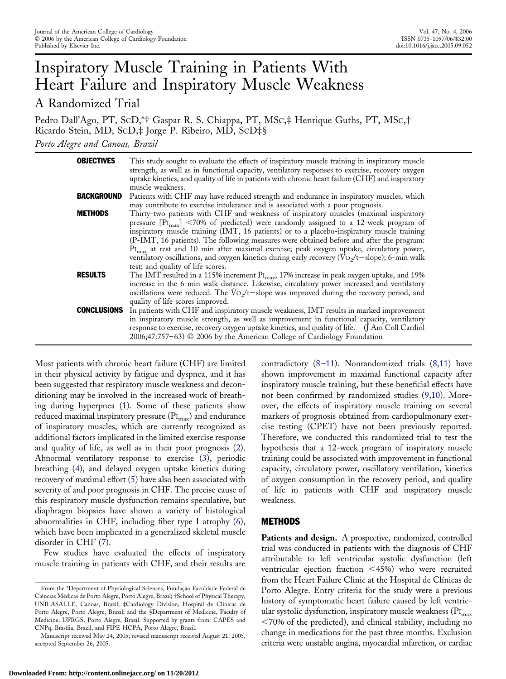# Inspiratory Muscle Training in Patients With Heart Failure and Inspiratory Muscle Weakness A Randomized Trial

Pedro Dall'Ago, PT, SCD,\*† Gaspar R. S. Chiappa, PT, MSC,‡ Henrique Guths, PT, MSC,† Ricardo Stein, MD, SCD,‡ Jorge P. Ribeiro, MD, SCD‡§ *Porto Alegre and Canoas, Brazil*

| <b>OBJECTIVES</b>  | This study sought to evaluate the effects of inspiratory muscle training in inspiratory muscle<br>strength, as well as in functional capacity, ventilatory responses to exercise, recovery oxygen<br>uptake kinetics, and quality of life in patients with chronic heart failure (CHF) and inspiratory<br>muscle weakness.                                                                                                                                                                                                                                                                                                                                   |
|--------------------|--------------------------------------------------------------------------------------------------------------------------------------------------------------------------------------------------------------------------------------------------------------------------------------------------------------------------------------------------------------------------------------------------------------------------------------------------------------------------------------------------------------------------------------------------------------------------------------------------------------------------------------------------------------|
| <b>BACKGROUND</b>  | Patients with CHF may have reduced strength and endurance in inspiratory muscles, which<br>may contribute to exercise intolerance and is associated with a poor prognosis.                                                                                                                                                                                                                                                                                                                                                                                                                                                                                   |
| <b>METHODS</b>     | Thirty-two patients with CHF and weakness of inspiratory muscles (maximal inspiratory<br>pressure $\left[\text{PI}_{\text{max}}\right]$ <70% of predicted) were randomly assigned to a 12-week program of<br>inspiratory muscle training (IMT, 16 patients) or to a placebo-inspiratory muscle training<br>(P-IMT, 16 patients). The following measures were obtained before and after the program:<br>PI <sub>max</sub> at rest and 10 min after maximal exercise; peak oxygen uptake, circulatory power,<br>ventilatory oscillations, and oxygen kinetics during early recovery ( $\text{Vo}_2$ /t-slope); 6-min walk<br>test; and quality of life scores. |
| <b>RESULTS</b>     | The IMT resulted in a 115% increment $P_{I_{\text{max}}}$ , 17% increase in peak oxygen uptake, and 19%<br>increase in the 6-min walk distance. Likewise, circulatory power increased and ventilatory<br>oscillations were reduced. The $\text{Vo}_2$ /t-slope was improved during the recovery period, and<br>quality of life scores improved.                                                                                                                                                                                                                                                                                                              |
| <b>CONCLUSIONS</b> | In patients with CHF and inspiratory muscle weakness, IMT results in marked improvement<br>in inspiratory muscle strength, as well as improvement in functional capacity, ventilatory<br>response to exercise, recovery oxygen uptake kinetics, and quality of life. (J Am Coll Cardiol<br>$2006;47:757-63$ $\odot$ 2006 by the American College of Cardiology Foundation                                                                                                                                                                                                                                                                                    |

Most patients with chronic heart failure (CHF) are limited in their physical activity by fatigue and dyspnea, and it has been suggested that respiratory muscle weakness and deconditioning may be involved in the increased work of breathing during hyperpnea [\(1\)](#page-6-0). Some of these patients show reduced maximal inspiratory pressure  $(PI<sub>max</sub>)$  and endurance of inspiratory muscles, which are currently recognized as additional factors implicated in the limited exercise response and quality of life, as well as in their poor prognosis [\(2\)](#page-6-0). Abnormal ventilatory response to exercise [\(3\)](#page-6-0), periodic breathing [\(4\)](#page-6-0), and delayed oxygen uptake kinetics during recovery of maximal effort [\(5\)](#page-6-0) have also been associated with severity of and poor prognosis in CHF. The precise cause of this respiratory muscle dysfunction remains speculative, but diaphragm biopsies have shown a variety of histological abnormalities in CHF, including fiber type I atrophy [\(6\)](#page-6-0), which have been implicated in a generalized skeletal muscle disorder in CHF [\(7\)](#page-6-0).

Few studies have evaluated the effects of inspiratory muscle training in patients with CHF, and their results are

contradictory  $(8-11)$ . Nonrandomized trials  $(8,11)$  have shown improvement in maximal functional capacity after inspiratory muscle training, but these beneficial effects have not been confirmed by randomized studies [\(9,10\)](#page-6-0). Moreover, the effects of inspiratory muscle training on several markers of prognosis obtained from cardiopulmonary exercise testing (CPET) have not been previously reported. Therefore, we conducted this randomized trial to test the hypothesis that a 12-week program of inspiratory muscle training could be associated with improvement in functional capacity, circulatory power, oscillatory ventilation, kinetics of oxygen consumption in the recovery period, and quality of life in patients with CHF and inspiratory muscle weakness.

# METHODS

**Patients and design.** A prospective, randomized, controlled trial was conducted in patients with the diagnosis of CHF attributable to left ventricular systolic dysfunction (left ventricular ejection fraction  $\langle 45\% \rangle$  who were recruited from the Heart Failure Clinic at the Hospital de Clínicas de Porto Alegre. Entry criteria for the study were a previous history of symptomatic heart failure caused by left ventricular systolic dysfunction, inspiratory muscle weakness ( $\text{PI}_{\text{max}}$ 70% of the predicted), and clinical stability, including no change in medications for the past three months. Exclusion criteria were unstable angina, myocardial infarction, or cardiac

From the \*Department of Physiological Sciences, Fundação Faculdade Federal de Ciências Médicas de Porto Alegre, Porto Alegre, Brazil; †School of Physical Therapy, UNILASALLE, Canoas, Brazil; ‡Cardiology Division, Hospital de Clínicas de Porto Alegre, Porto Alegre, Brazil; and the §Department of Medicine, Faculty of Medicine, UFRGS, Porto Alegre, Brazil. Supported by grants from: CAPES and CNPq, Brasília, Brazil, and FIPE-HCPA, Porto Alegre, Brazil.

Manuscript received May 24, 2005; revised manuscript received August 21, 2005, accepted September 26, 2005.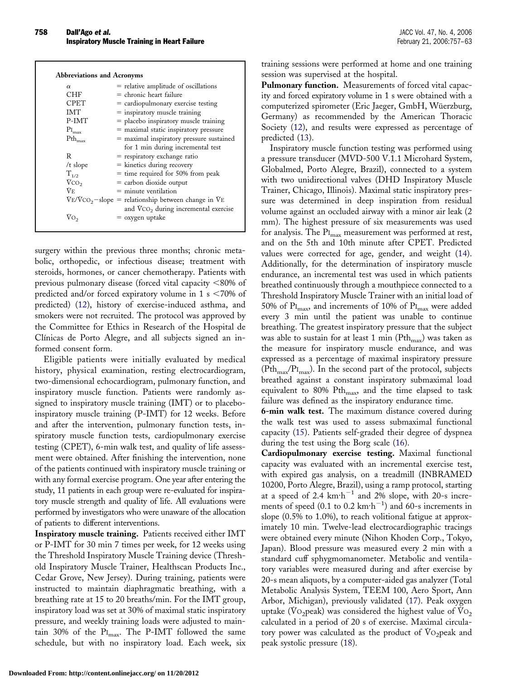| <b>Abbreviations and Acronyms</b> |                                                                     |
|-----------------------------------|---------------------------------------------------------------------|
| $\alpha$                          | = relative amplitude of oscillations                                |
| <b>CHF</b>                        | $=$ chronic heart failure                                           |
| <b>CPET</b>                       | $=$ cardiopulmonary exercise testing                                |
| <b>IMT</b>                        | $=$ inspiratory muscle training                                     |
| P-IMT                             | $=$ placebo inspiratory muscle training                             |
| $\rm{PI_{max}}$                   | $=$ maximal static inspiratory pressure                             |
| $Pth_{max}$                       | = maximal inspiratory pressure sustained                            |
|                                   | for 1 min during incremental test                                   |
| R                                 | $=$ respiratory exchange ratio                                      |
| $/t$ slope                        | $=$ kinetics during recovery                                        |
| $T_{1/2}$                         | $=$ time required for 50% from peak                                 |
| $\dot{V}$ CO <sub>2</sub>         | $=$ carbon dioxide output                                           |
| VF.                               | $=$ minute ventilation                                              |
|                                   | $V_{\rm E}/V_{\rm CO_2}$ -slope = relationship between change in VE |
|                                   | and $\rm{VCO}_2$ during incremental exercise                        |
| Vo,                               | $=$ oxygen uptake                                                   |
|                                   |                                                                     |

surgery within the previous three months; chronic metabolic, orthopedic, or infectious disease; treatment with steroids, hormones, or cancer chemotherapy. Patients with previous pulmonary disease (forced vital capacity  $< 80\%$  of predicted and/or forced expiratory volume in 1 s  $\leq 70\%$  of predicted) [\(12\)](#page-6-0), history of exercise-induced asthma, and smokers were not recruited. The protocol was approved by the Committee for Ethics in Research of the Hospital de Clínicas de Porto Alegre, and all subjects signed an informed consent form.

Eligible patients were initially evaluated by medical history, physical examination, resting electrocardiogram, two-dimensional echocardiogram, pulmonary function, and inspiratory muscle function. Patients were randomly assigned to inspiratory muscle training (IMT) or to placeboinspiratory muscle training (P-IMT) for 12 weeks. Before and after the intervention, pulmonary function tests, inspiratory muscle function tests, cardiopulmonary exercise testing (CPET), 6-min walk test, and quality of life assessment were obtained. After finishing the intervention, none of the patients continued with inspiratory muscle training or with any formal exercise program. One year after entering the study, 11 patients in each group were re-evaluated for inspiratory muscle strength and quality of life. All evaluations were performed by investigators who were unaware of the allocation of patients to different interventions.

**Inspiratory muscle training.** Patients received either IMT or P-IMT for 30 min 7 times per week, for 12 weeks using the Threshold Inspiratory Muscle Training device (Threshold Inspiratory Muscle Trainer, Healthscan Products Inc., Cedar Grove, New Jersey). During training, patients were instructed to maintain diaphragmatic breathing, with a breathing rate at 15 to 20 breaths/min. For the IMT group, inspiratory load was set at 30% of maximal static inspiratory pressure, and weekly training loads were adjusted to maintain 30% of the  $PI<sub>max</sub>$ . The P-IMT followed the same schedule, but with no inspiratory load. Each week, six training sessions were performed at home and one training session was supervised at the hospital.

**Pulmonary function.** Measurements of forced vital capacity and forced expiratory volume in 1 s were obtained with a computerized spirometer (Eric Jaeger, GmbH, Wüerzburg, Germany) as recommended by the American Thoracic Society [\(12\)](#page-6-0), and results were expressed as percentage of predicted [\(13\)](#page-6-0).

Inspiratory muscle function testing was performed using a pressure transducer (MVD-500 V.1.1 Microhard System, Globalmed, Porto Alegre, Brazil), connected to a system with two unidirectional valves (DHD Inspiratory Muscle Trainer, Chicago, Illinois). Maximal static inspiratory pressure was determined in deep inspiration from residual volume against an occluded airway with a minor air leak (2 mm). The highest pressure of six measurements was used for analysis. The  $\text{PI}_{\text{max}}$  measurement was performed at rest, and on the 5th and 10th minute after CPET. Predicted values were corrected for age, gender, and weight [\(14\)](#page-6-0). Additionally, for the determination of inspiratory muscle endurance, an incremental test was used in which patients breathed continuously through a mouthpiece connected to a Threshold Inspiratory Muscle Trainer with an initial load of 50% of  $\text{PI}_{\text{max}}$ , and increments of 10% of  $\text{PI}_{\text{max}}$  were added every 3 min until the patient was unable to continue breathing. The greatest inspiratory pressure that the subject was able to sustain for at least 1 min ( $\mathrm{Pth}_{\mathrm{max}}$ ) was taken as the measure for inspiratory muscle endurance, and was expressed as a percentage of maximal inspiratory pressure  $(Pth<sub>max</sub>/PI<sub>max</sub>)$ . In the second part of the protocol, subjects breathed against a constant inspiratory submaximal load equivalent to 80% Pth<sub>max</sub>, and the time elapsed to task failure was defined as the inspiratory endurance time.

**6-min walk test.** The maximum distance covered during the walk test was used to assess submaximal functional capacity [\(15\)](#page-6-0). Patients self-graded their degree of dyspnea during the test using the Borg scale [\(16\)](#page-6-0).

**Cardiopulmonary exercise testing.** Maximal functional capacity was evaluated with an incremental exercise test, with expired gas analysis, on a treadmill (INBRAMED 10200, Porto Alegre, Brazil), using a ramp protocol, starting at a speed of  $2.4 \text{ km} \cdot \text{h}^{-1}$  and  $2\%$  slope, with 20-s increments of speed (0.1 to 0.2  $km\cdot h^{-1}$ ) and 60-s increments in slope (0.5% to 1.0%), to reach volitional fatigue at approximately 10 min. Twelve-lead electrocardiographic tracings were obtained every minute (Nihon Khoden Corp., Tokyo, Japan). Blood pressure was measured every 2 min with a standard cuff sphygmomanometer. Metabolic and ventilatory variables were measured during and after exercise by 20-s mean aliquots, by a computer-aided gas analyzer (Total Metabolic Analysis System, TEEM 100, Aero Sport, Ann Arbor, Michigan), previously validated [\(17\)](#page-6-0). Peak oxygen uptake ( $\text{Vo}_2$ peak) was considered the highest value of  $\text{Vo}_2$ calculated in a period of 20 s of exercise. Maximal circulatory power was calculated as the product of  $\text{Vo}_2$  peak and peak systolic pressure [\(18\)](#page-6-0).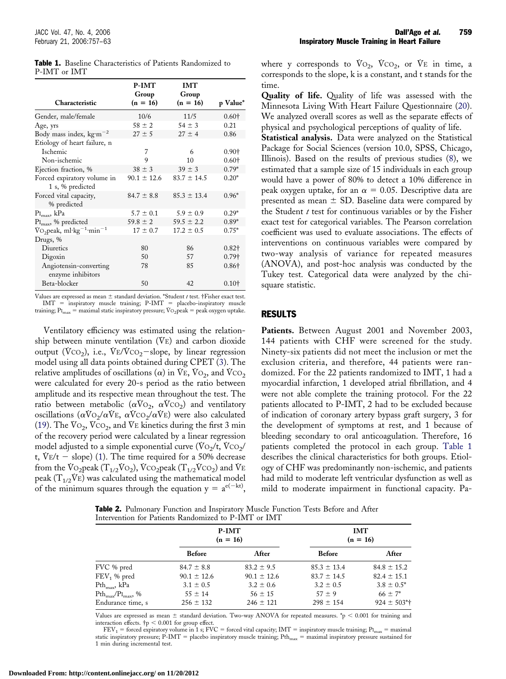|                                                            | <b>P-IMT</b>        | <b>IMT</b>          |               |
|------------------------------------------------------------|---------------------|---------------------|---------------|
| Characteristic                                             | Group<br>$(n = 16)$ | Group<br>$(n = 16)$ | p Value*      |
| Gender, male/female                                        | 10/6                | 11/5                | $0.60+$       |
| Age, yrs                                                   | $58 \pm 2$          | $54 \pm 3$          | 0.21          |
| Body mass index, $\text{kg}\cdot\text{m}^{-2}$             | $27 \pm 5$          | $27 \pm 4$          | 0.86          |
| Etiology of heart failure, n                               |                     |                     |               |
| <b>Ischemic</b>                                            | 7                   | 6                   | $0.90+$       |
| Non-ischemic                                               | 9                   | 10                  | $0.60+$       |
| Ejection fraction, %                                       | $38 \pm 3$          | $39 \pm 3$          | $0.79*$       |
| Forced expiratory volume in<br>1 s, % predicted            | $90.1 \pm 12.6$     | $83.7 \pm 14.5$     | $0.20*$       |
| Forced vital capacity,<br>% predicted                      | $84.7 \pm 8.8$      | $85.3 \pm 13.4$     | $0.96*$       |
| $\rm{PI_{max}}$ , k $\rm{Pa}$                              | $5.7 \pm 0.1$       | $5.9 \pm 0.9$       | $0.29*$       |
| PI <sub>max</sub> , % predicted                            | $59.8 \pm 2$        | $59.5 \pm 2.2$      | $0.89*$       |
| $\text{Vo}_2$ peak, ml·kg <sup>-1</sup> ·min <sup>-1</sup> | $17 \pm 0.7$        | $17.2 \pm 0.5$      | $0.75*$       |
| Drugs, %                                                   |                     |                     |               |
| Diuretics                                                  | 80                  | 86                  | $0.82\dagger$ |
| Digoxin                                                    | 50                  | 57                  | $0.79+$       |
| Angiotensin-converting                                     | 78                  | 85                  | $0.86+$       |
| enzyme inhibitors                                          |                     |                     |               |
| Beta-blocker                                               | 50                  | 42                  | $0.10+$       |

<span id="page-2-0"></span>

|              | <b>Table 1.</b> Baseline Characteristics of Patients Randomized to |  |  |
|--------------|--------------------------------------------------------------------|--|--|
| P-IMT or IMT |                                                                    |  |  |

Values are expressed as mean  $\pm$  standard deviation. \*Student *t* test. †Fisher exact test.  $IMT$  = inspiratory muscle training; P-IMT = placebo-inspiratory muscle training;  $P_{I_{max}}$  = maximal static inspiratory pressure;  $\dot{V}$ O<sub>2</sub>peak = peak oxygen uptake.

Ventilatory efficiency was estimated using the relationship between minute ventilation  $(V<sub>E</sub>)$  and carbon dioxide output ( $\text{Vco}_2$ ), i.e.,  $\text{V} \text{E}/\text{Vco}_2 - \text{slope}$ , by linear regression model using all data points obtained during CPET [\(3\)](#page-6-0). The relative amplitudes of oscillations ( $\alpha$ ) in V $\text{E}$ , V $\text{O}_2$ , and V $\text{CO}_2$ were calculated for every 20-s period as the ratio between amplitude and its respective mean throughout the test. The ratio between metabolic ( $\alpha \dot{V}$ O<sub>2</sub>,  $\alpha \dot{V}$ CO<sub>2</sub>) and ventilatory oscillations ( $\alpha \text{V} \text{O}_2 / \alpha \text{V} \text{E}$ ,  $\alpha \text{V} \text{C} \text{O}_2 / \alpha \text{V} \text{E}$ ) were also calculated [\(19\)](#page-6-0). The  $\text{Vo}_2$ ,  $\text{Vco}_2$ , and  $\text{Ve}$  kinetics during the first 3 min of the recovery period were calculated by a linear regression model adjusted to a simple exponential curve  $(\dot{V}O_2/t, \dot{V}CO_2/t)$ t,  $V_{E}/t$  – slope) [\(1\)](#page-6-0). The time required for a 50% decrease from the  $\overline{V}O_2$ peak ( $T_{1/2}\overline{V}O_2$ ),  $\overline{V}CO_2$ peak ( $T_{1/2}\overline{V}CO_2$ ) and  $\overline{V}E$ peak ( $T_{1/2}$ VE) was calculated using the mathematical model of the minimum squares through the equation  $y = a^{e(-kt)}$ ,

where y corresponds to  $Vo_2$ ,  $VCO_2$ , or  $Ve$  in time, a corresponds to the slope, k is a constant, and t stands for the time.

**Quality of life.** Quality of life was assessed with the Minnesota Living With Heart Failure Questionnaire [\(20\)](#page-6-0). We analyzed overall scores as well as the separate effects of physical and psychological perceptions of quality of life.

**Statistical analysis.** Data were analyzed on the Statistical Package for Social Sciences (version 10.0, SPSS, Chicago, Illinois). Based on the results of previous studies [\(8\)](#page-6-0), we estimated that a sample size of 15 individuals in each group would have a power of 80% to detect a 10% difference in peak oxygen uptake, for an  $\alpha = 0.05$ . Descriptive data are presented as mean  $\pm$  SD. Baseline data were compared by the Student *t* test for continuous variables or by the Fisher exact test for categorical variables. The Pearson correlation coefficient was used to evaluate associations. The effects of interventions on continuous variables were compared by two-way analysis of variance for repeated measures (ANOVA), and post-hoc analysis was conducted by the Tukey test. Categorical data were analyzed by the chisquare statistic.

#### RESULTS

Patients. Between August 2001 and November 2003, 144 patients with CHF were screened for the study. Ninety-six patients did not meet the inclusion or met the exclusion criteria, and therefore, 44 patients were randomized. For the 22 patients randomized to IMT, 1 had a myocardial infarction, 1 developed atrial fibrillation, and 4 were not able complete the training protocol. For the 22 patients allocated to P-IMT, 2 had to be excluded because of indication of coronary artery bypass graft surgery, 3 for the development of symptoms at rest, and 1 because of bleeding secondary to oral anticoagulation. Therefore, 16 patients completed the protocol in each group. Table 1 describes the clinical characteristics for both groups. Etiology of CHF was predominantly non-ischemic, and patients had mild to moderate left ventricular dysfunction as well as mild to moderate impairment in functional capacity. Pa-

Table 2. Pulmonary Function and Inspiratory Muscle Function Tests Before and After Intervention for Patients Randomized to P-IMT or IMT

|                                                              |                 | P-IMT<br>$(n = 16)$ | <b>IMT</b><br>$(n = 16)$ |                            |  |
|--------------------------------------------------------------|-----------------|---------------------|--------------------------|----------------------------|--|
|                                                              | <b>Before</b>   | After               | <b>Before</b>            | After                      |  |
| FVC % pred                                                   | $84.7 \pm 8.8$  | $83.2 \pm 9.5$      | $85.3 \pm 13.4$          | $84.8 \pm 15.2$            |  |
| $FEV1$ % pred                                                | $90.1 \pm 12.6$ | $90.1 \pm 12.6$     | $83.7 \pm 14.5$          | $82.4 \pm 15.1$            |  |
| $Pth_{max}$ , kPa                                            | $3.1 \pm 0.5$   | $3.2 \pm 0.6$       | $3.2 \pm 0.5$            | $3.8 \pm 0.5^*$            |  |
| $\mathrm{Pth}_{\mathrm{max}}/\mathrm{PI}_{\mathrm{max}}$ , % | $55 \pm 14$     | $56 \pm 15$         | $57 \pm 9$               | $66 \pm 7^*$               |  |
| Endurance time, s                                            | $256 \pm 132$   | $246 \pm 121$       | $298 \pm 154$            | $924 \pm 503$ <sup>*</sup> |  |

Values are expressed as mean  $\pm$  standard deviation. Two-way ANOVA for repeated measures. \*p < 0.001 for training and interaction effects.  $\dagger$ p < 0.001 for group effect.

 $FEV_1$  = forced expiratory volume in 1 s; FVC = forced vital capacity; IMT = inspiratory muscle training; PI<sub>max</sub> = maximal static inspiratory pressure;  $P-MT =$  placebo inspiratory muscle training;  $Pth<sub>max</sub> =$  maximal inspiratory pressure sustained for 1 min during incremental test.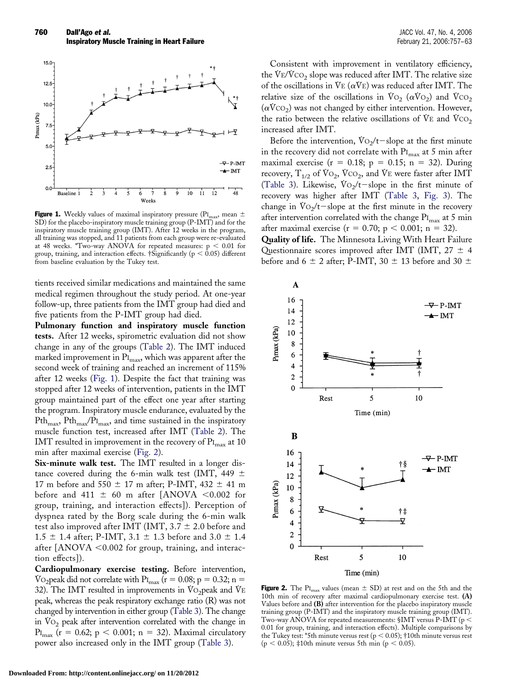

**Figure 1.** Weekly values of maximal inspiratory pressure ( $PI_{max}$ , mean  $\pm$ SD) for the placebo-inspiratory muscle training group (P-IMT) and for the inspiratory muscle training group (IMT). After 12 weeks in the program, all training was stopped, and 11 patients from each group were re-evaluated at 48 weeks. \*Two-way ANOVA for repeated measures:  $p < 0.01$  for group, training, and interaction effects. †Significantly ( $p < 0.05$ ) different from baseline evaluation by the Tukey test.

tients received similar medications and maintained the same medical regimen throughout the study period. At one-year follow-up, three patients from the IMT group had died and five patients from the P-IMT group had died.

**Pulmonary function and inspiratory muscle function tests.** After 12 weeks, spirometric evaluation did not show change in any of the groups [\(Table 2\)](#page-2-0). The IMT induced marked improvement in  $\Pr_{\text{max}}$ , which was apparent after the second week of training and reached an increment of 115% after 12 weeks (Fig. 1). Despite the fact that training was stopped after 12 weeks of intervention, patients in the IMT group maintained part of the effect one year after starting the program. Inspiratory muscle endurance, evaluated by the  $Pth_{\text{max}}$ ,  $Pth_{\text{max}}$ ,  $PIt_{\text{max}}$ , and time sustained in the inspiratory muscle function test, increased after IMT [\(Table 2\)](#page-2-0). The IMT resulted in improvement in the recovery of  $\text{PI}_{\text{max}}$  at 10 min after maximal exercise (Fig. 2).

**Six-minute walk test.** The IMT resulted in a longer distance covered during the 6-min walk test (IMT, 449  $\pm$ 17 m before and 550  $\pm$  17 m after; P-IMT, 432  $\pm$  41 m before and 411  $\pm$  60 m after [ANOVA <0.002 for group, training, and interaction effects]). Perception of dyspnea rated by the Borg scale during the 6-min walk test also improved after IMT (IMT,  $3.7 \pm 2.0$  before and 1.5  $\pm$  1.4 after; P-IMT, 3.1  $\pm$  1.3 before and 3.0  $\pm$  1.4 after  $[ANOVA < 0.002$  for group, training, and interaction effects]).

**Cardiopulmonary exercise testing.** Before intervention, Vo<sub>2</sub> peak did not correlate with P<sub>Imax</sub> ( $r = 0.08$ ; p = 0.32; n = 32). The IMT resulted in improvements in  $\rm{Vo_2peak}$  and  $\rm{VE}$ peak, whereas the peak respiratory exchange ratio (R) was not changed by intervention in either group [\(Table 3\)](#page-4-0). The change in  $Vo_2$  peak after intervention correlated with the change in PI<sub>max</sub> (r = 0.62; p < 0.001; n = 32). Maximal circulatory power also increased only in the IMT group [\(Table 3\)](#page-4-0).

Consistent with improvement in ventilatory efficiency, the  $V_{E}/V_{CO_2}$  slope was reduced after IMT. The relative size of the oscillations in  $\text{V}_{E}(\alpha \text{V}_{E})$  was reduced after IMT. The relative size of the oscillations in  $V_{{\rm O}_2}(\alpha V_{{\rm O}_2})$  and  $V_{{\rm CO}_2}$  $(\alpha VCO_2)$  was not changed by either intervention. However, the ratio between the relative oscillations of  $Ve$  and  $VCO<sub>2</sub>$ increased after IMT.

Before the intervention,  $\text{Vo}_2/\text{t}-\text{slope}$  at the first minute in the recovery did not correlate with  $\text{PI}_{\text{max}}$  at 5 min after maximal exercise ( $r = 0.18$ ;  $p = 0.15$ ;  $n = 32$ ). During recovery,  $T_{1/2}$  of  $V_{\text{O}_2}$ ,  $V_{\text{CO}_2}$ , and  $V_{\text{E}}$  were faster after IMT [\(Table 3\)](#page-4-0). Likewise,  $\text{Vo}_2/\text{t}-\text{slope}$  in the first minute of recovery was higher after IMT [\(Table 3,](#page-4-0) [Fig. 3\)](#page-5-0). The change in  $\text{Vo}_2$ /t-slope at the first minute in the recovery after intervention correlated with the change  $\Pr_{max}$  at 5 min after maximal exercise ( $r = 0.70$ ;  $p < 0.001$ ;  $n = 32$ ).

**Quality of life.** The Minnesota Living With Heart Failure Questionnaire scores improved after IMT (IMT,  $27 \pm 4$ before and 6  $\pm$  2 after; P-IMT, 30  $\pm$  13 before and 30  $\pm$ 



**Figure 2.** The PI<sub>max</sub> values (mean  $\pm$  SD) at rest and on the 5th and the 10th min of recovery after maximal cardiopulmonary exercise test. **(A)** Values before and **(B)** after intervention for the placebo inspiratory muscle training group (P-IMT) and the inspiratory muscle training group (IMT). Two-way ANOVA for repeated measurements: §IMT versus P-IMT (p  $<$ 0.01 for group, training, and interaction effects). Multiple comparisons by the Tukey test: \*5th minute versus rest ( $p < 0.05$ ); †10th minute versus rest  $(p < 0.05)$ ; ‡10th minute versus 5th min (p  $< 0.05$ ).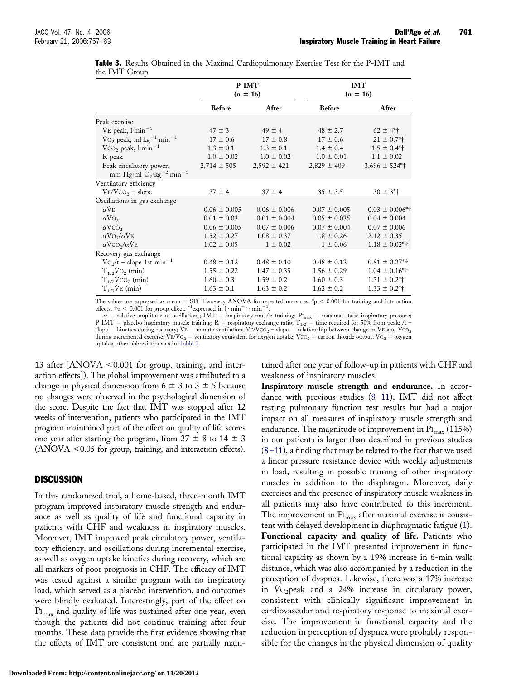|                                                                                | P-IMT<br>$(n = 16)$ |                  | <b>IMT</b><br>$(n = 16)$ |                              |  |
|--------------------------------------------------------------------------------|---------------------|------------------|--------------------------|------------------------------|--|
|                                                                                | <b>Before</b>       | After            | <b>Before</b>            | After                        |  |
| Peak exercise                                                                  |                     |                  |                          |                              |  |
| $V_{E}$ peak, $1$ ·min <sup>-1</sup>                                           | $47 \pm 3$          | $49 \pm 4$       | $48 \pm 2.7$             | $62 \pm 4$ <sup>*</sup>      |  |
| $\text{Vo}_2$ peak, ml·kg <sup>-1</sup> ·min <sup>-1</sup>                     | $17 \pm 0.6$        | $17 \pm 0.8$     | $17 \pm 0.6$             | $21 \pm 0.7$ <sup>*</sup>    |  |
| $\text{VCO}_2$ peak, $1 \text{min}^{-1}$                                       | $1.3 \pm 0.1$       | $1.3 \pm 0.1$    | $1.4 \pm 0.4$            | $1.5 \pm 0.4$ <sup>*</sup>   |  |
| R peak                                                                         | $1.0 \pm 0.02$      | $1.0 \pm 0.02$   | $1.0 \pm 0.01$           | $1.1 \pm 0.02$               |  |
| Peak circulatory power,<br>mm Hg·ml $O_2$ ·kg <sup>-2</sup> ·min <sup>-1</sup> | $2,714 \pm 505$     | $2,592 \pm 421$  | $2,829 \pm 409$          | $3,696 \pm 524$ <sup>*</sup> |  |
| Ventilatory efficiency                                                         |                     |                  |                          |                              |  |
| $V_{E}/V_{CO_2}$ – slope                                                       | $37 \pm 4$          | $37 \pm 4$       | $35 \pm 3.5$             | $30 \pm 3$ <sup>*</sup>      |  |
| Oscillations in gas exchange                                                   |                     |                  |                          |                              |  |
| $\alpha$ VE                                                                    | $0.06 \pm 0.005$    | $0.06 \pm 0.006$ | $0.07 \pm 0.005$         | $0.03 \pm 0.006*$            |  |
| $\alpha$ VO <sub>2</sub>                                                       | $0.01 \pm 0.03$     | $0.01 \pm 0.004$ | $0.05 \pm 0.035$         | $0.04 \pm 0.004$             |  |
| $\alpha$ VCO <sub>2</sub>                                                      | $0.06 \pm 0.005$    | $0.07 \pm 0.006$ | $0.07 \pm 0.004$         | $0.07 \pm 0.006$             |  |
| $\alpha VO_2/\alpha VE$                                                        | $1.52 \pm 0.27$     | $1.08 \pm 0.37$  | $1.8 \pm 0.26$           | $2.12 \pm 0.35$              |  |
| $\alpha$ VCO <sub>2</sub> / $\alpha$ VE                                        | $1.02 \pm 0.05$     | $1 \pm 0.02$     | $1 \pm 0.06$             | $1.18 \pm 0.02^*$            |  |
| Recovery gas exchange                                                          |                     |                  |                          |                              |  |
| $\text{Vo}_2/\text{t}$ – slope 1st min <sup>-1</sup>                           | $0.48 \pm 0.12$     | $0.48 \pm 0.10$  | $0.48 \pm 0.12$          | $0.81 \pm 0.27$ <sup>*</sup> |  |
| $T_{1/2}V_{O_2}$ (min)                                                         | $1.55 \pm 0.22$     | $1.47 \pm 0.35$  | $1.56 \pm 0.29$          | $1.04 \pm 0.16$ <sup>*</sup> |  |
| $T_{1/2}V_{CO_2}$ (min)                                                        | $1.60 \pm 0.3$      | $1.59 \pm 0.2$   | $1.60 \pm 0.3$           | $1.31 \pm 0.2$ <sup>*</sup>  |  |
| $T_{1/2}$ VE (min)                                                             | $1.63 \pm 0.1$      | $1.63 \pm 0.2$   | $1.62 \pm 0.2$           | $1.33 \pm 0.2$ <sup>*</sup>  |  |

<span id="page-4-0"></span>

|               |  |  | Table 3. Results Obtained in the Maximal Cardiopulmonary Exercise Test for the P-IMT and |  |  |
|---------------|--|--|------------------------------------------------------------------------------------------|--|--|
| the IMT Group |  |  |                                                                                          |  |  |

The values are expressed as mean  $\pm$  SD. Two-way ANOVA for repeated measures.  $\uparrow$   $> 0.001$  for training and interaction effects.  $\uparrow$   $\uparrow$   $< 0.001$  for group effect. \*1expressed in 1 · min<sup>-1</sup> · min<sup>-1</sup>.<br>  $\alpha$  = re

P-IMT = placebo inspiratory muscle training; R = respiratory exchange ratio; T<sub>1/2</sub> = time required for 50% from peak; /t –<br>slope = kinetics during recovery; VE = minute ventilation; VE/VCO<sub>2</sub> – slope = relationship betwe during incremental exercise; VE/VO<sub>2</sub> = ventilatory equivalent for oxygen uptake; VCO<sub>2</sub> = carbon dioxide output; VO<sub>2</sub> = oxygen uptake; other abbreviations as in [Table 1.](#page-2-0)

13 after  $[ANOVA < 0.001$  for group, training, and interaction effects]). The global improvement was attributed to a change in physical dimension from  $6 \pm 3$  to  $3 \pm 5$  because no changes were observed in the psychological dimension of the score. Despite the fact that IMT was stopped after 12 weeks of intervention, patients who participated in the IMT program maintained part of the effect on quality of life scores one year after starting the program, from  $27 \pm 8$  to  $14 \pm 3$  $(ANOVA < 0.05$  for group, training, and interaction effects).

# DISCUSSION

In this randomized trial, a home-based, three-month IMT program improved inspiratory muscle strength and endurance as well as quality of life and functional capacity in patients with CHF and weakness in inspiratory muscles. Moreover, IMT improved peak circulatory power, ventilatory efficiency, and oscillations during incremental exercise, as well as oxygen uptake kinetics during recovery, which are all markers of poor prognosis in CHF. The efficacy of IMT was tested against a similar program with no inspiratory load, which served as a placebo intervention, and outcomes were blindly evaluated. Interestingly, part of the effect on PI<sub>max</sub> and quality of life was sustained after one year, even though the patients did not continue training after four months. These data provide the first evidence showing that the effects of IMT are consistent and are partially main-

**Downloaded From: http://content.onlinejacc.org/ on 11/20/2012**

tained after one year of follow-up in patients with CHF and weakness of inspiratory muscles.

**Inspiratory muscle strength and endurance.** In accordance with previous studies [\(8–11\)](#page-6-0), IMT did not affect resting pulmonary function test results but had a major impact on all measures of inspiratory muscle strength and endurance. The magnitude of improvement in  $P_{\text{I}_{\text{max}}}(115\%)$ in our patients is larger than described in previous studies  $(8-11)$ , a finding that may be related to the fact that we used a linear pressure resistance device with weekly adjustments in load, resulting in possible training of other inspiratory muscles in addition to the diaphragm. Moreover, daily exercises and the presence of inspiratory muscle weakness in all patients may also have contributed to this increment. The improvement in  $\Pr_{max}$  after maximal exercise is consistent with delayed development in diaphragmatic fatigue [\(1\)](#page-6-0). **Functional capacity and quality of life.** Patients who participated in the IMT presented improvement in functional capacity as shown by a 19% increase in 6-min walk distance, which was also accompanied by a reduction in the perception of dyspnea. Likewise, there was a 17% increase in  $\mathrm{Vo}_2$  peak and a 24% increase in circulatory power, consistent with clinically significant improvement in cardiovascular and respiratory response to maximal exercise. The improvement in functional capacity and the reduction in perception of dyspnea were probably responsible for the changes in the physical dimension of quality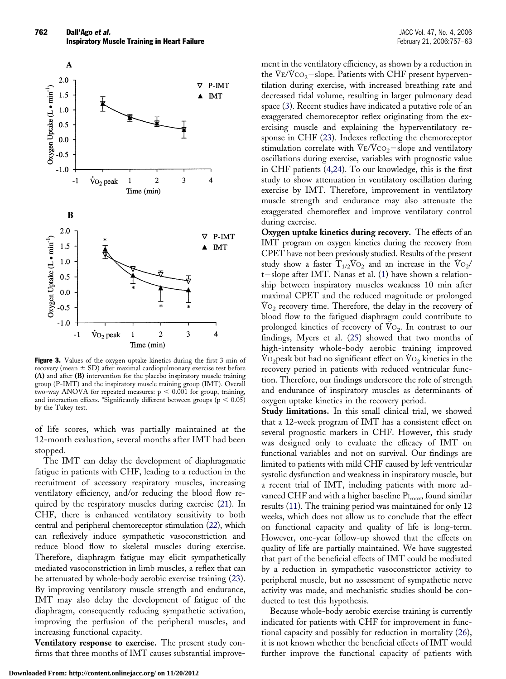<span id="page-5-0"></span>

Figure 3. Values of the oxygen uptake kinetics during the first 3 min of recovery (mean  $\pm$  SD) after maximal cardiopulmonary exercise test before **(A)** and after **(B)** intervention for the placebo inspiratory muscle training group (P-IMT) and the inspiratory muscle training group (IMT). Overall two-way ANOVA for repeated measures:  $p < 0.001$  for group, training, and interaction effects. \*Significantly different between groups ( $p < 0.05$ ) by the Tukey test.

of life scores, which was partially maintained at the 12-month evaluation, several months after IMT had been stopped.

The IMT can delay the development of diaphragmatic fatigue in patients with CHF, leading to a reduction in the recruitment of accessory respiratory muscles, increasing ventilatory efficiency, and/or reducing the blood flow required by the respiratory muscles during exercise [\(21\)](#page-6-0). In CHF, there is enhanced ventilatory sensitivity to both central and peripheral chemoreceptor stimulation [\(22\)](#page-6-0), which can reflexively induce sympathetic vasoconstriction and reduce blood flow to skeletal muscles during exercise. Therefore, diaphragm fatigue may elicit sympathetically mediated vasoconstriction in limb muscles, a reflex that can be attenuated by whole-body aerobic exercise training ([23\)](#page-6-0). By improving ventilatory muscle strength and endurance, IMT may also delay the development of fatigue of the diaphragm, consequently reducing sympathetic activation, improving the perfusion of the peripheral muscles, and increasing functional capacity.

**Ventilatory response to exercise.** The present study confirms that three months of IMT causes substantial improve-

**Downloaded From: http://content.onlinejacc.org/ on 11/20/2012**

ment in the ventilatory efficiency, as shown by a reduction in the VE/VCO<sub>2</sub>-slope. Patients with CHF present hyperventilation during exercise, with increased breathing rate and decreased tidal volume, resulting in larger pulmonary dead space [\(3\)](#page-6-0). Recent studies have indicated a putative role of an exaggerated chemoreceptor reflex originating from the exercising muscle and explaining the hyperventilatory response in CHF [\(23\)](#page-6-0). Indexes reflecting the chemoreceptor stimulation correlate with  $V_{E}/V_{CO_2}$  -slope and ventilatory oscillations during exercise, variables with prognostic value in CHF patients [\(4,24\)](#page-6-0). To our knowledge, this is the first study to show attenuation in ventilatory oscillation during exercise by IMT. Therefore, improvement in ventilatory muscle strength and endurance may also attenuate the exaggerated chemoreflex and improve ventilatory control during exercise.

**Oxygen uptake kinetics during recovery.** The effects of an IMT program on oxygen kinetics during the recovery from CPET have not been previously studied. Results of the present study show a faster  $T_{1/2}V_{O_2}$  and an increase in the  $V_{O_2}/$ t-slope after IMT. Nanas et al. [\(1\)](#page-6-0) have shown a relationship between inspiratory muscles weakness 10 min after maximal CPET and the reduced magnitude or prolonged  $\rm{Vo}_2$  recovery time. Therefore, the delay in the recovery of blood flow to the fatigued diaphragm could contribute to prolonged kinetics of recovery of  $Vo_2$ . In contrast to our findings, Myers et al. ([25\)](#page-6-0) showed that two months of high-intensity whole-body aerobic training improved V $O<sub>2</sub>$  peak but had no significant effect on V $O<sub>2</sub>$  kinetics in the recovery period in patients with reduced ventricular function. Therefore, our findings underscore the role of strength and endurance of inspiratory muscles as determinants of oxygen uptake kinetics in the recovery period.

**Study limitations.** In this small clinical trial, we showed that a 12-week program of IMT has a consistent effect on several prognostic markers in CHF. However, this study was designed only to evaluate the efficacy of IMT on functional variables and not on survival. Our findings are limited to patients with mild CHF caused by left ventricular systolic dysfunction and weakness in inspiratory muscle, but a recent trial of IMT, including patients with more advanced CHF and with a higher baseline  $\Pr_{\text{max}}$ , found similar results [\(11\)](#page-6-0). The training period was maintained for only 12 weeks, which does not allow us to conclude that the effect on functional capacity and quality of life is long-term. However, one-year follow-up showed that the effects on quality of life are partially maintained. We have suggested that part of the beneficial effects of IMT could be mediated by a reduction in sympathetic vasoconstrictor activity to peripheral muscle, but no assessment of sympathetic nerve activity was made, and mechanistic studies should be conducted to test this hypothesis.

Because whole-body aerobic exercise training is currently indicated for patients with CHF for improvement in functional capacity and possibly for reduction in mortality [\(26\)](#page-6-0), it is not known whether the beneficial effects of IMT would further improve the functional capacity of patients with